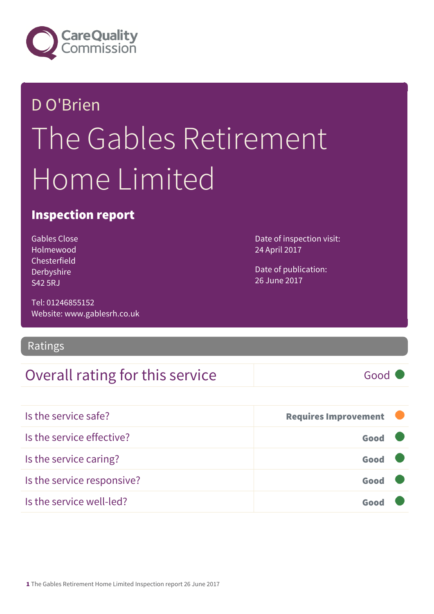

## D O'Brien The Gables Retirement Home Limited

### Inspection report

Gables Close Holmewood Chesterfield Derbyshire S42 5RJ

Tel: 01246855152 Website: www.gablesrh.co.uk

#### Ratings

### Overall rating for this service Good

Date of inspection visit: 24 April 2017

Date of publication: 26 June 2017

| Is the service safe?       | <b>Requires Improvement</b> |  |
|----------------------------|-----------------------------|--|
| Is the service effective?  | Good                        |  |
| Is the service caring?     | Good                        |  |
| Is the service responsive? | Good                        |  |
| Is the service well-led?   |                             |  |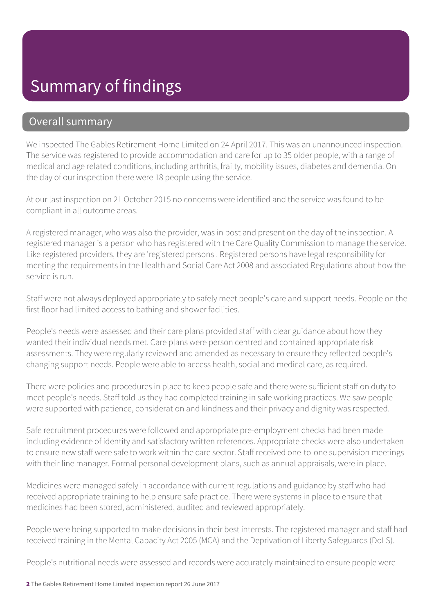### Summary of findings

#### Overall summary

We inspected The Gables Retirement Home Limited on 24 April 2017. This was an unannounced inspection. The service was registered to provide accommodation and care for up to 35 older people, with a range of medical and age related conditions, including arthritis, frailty, mobility issues, diabetes and dementia. On the day of our inspection there were 18 people using the service.

At our last inspection on 21 October 2015 no concerns were identified and the service was found to be compliant in all outcome areas.

A registered manager, who was also the provider, was in post and present on the day of the inspection. A registered manager is a person who has registered with the Care Quality Commission to manage the service. Like registered providers, they are 'registered persons'. Registered persons have legal responsibility for meeting the requirements in the Health and Social Care Act 2008 and associated Regulations about how the service is run.

Staff were not always deployed appropriately to safely meet people's care and support needs. People on the first floor had limited access to bathing and shower facilities.

People's needs were assessed and their care plans provided staff with clear guidance about how they wanted their individual needs met. Care plans were person centred and contained appropriate risk assessments. They were regularly reviewed and amended as necessary to ensure they reflected people's changing support needs. People were able to access health, social and medical care, as required.

There were policies and procedures in place to keep people safe and there were sufficient staff on duty to meet people's needs. Staff told us they had completed training in safe working practices. We saw people were supported with patience, consideration and kindness and their privacy and dignity was respected.

Safe recruitment procedures were followed and appropriate pre-employment checks had been made including evidence of identity and satisfactory written references. Appropriate checks were also undertaken to ensure new staff were safe to work within the care sector. Staff received one-to-one supervision meetings with their line manager. Formal personal development plans, such as annual appraisals, were in place.

Medicines were managed safely in accordance with current regulations and guidance by staff who had received appropriate training to help ensure safe practice. There were systems in place to ensure that medicines had been stored, administered, audited and reviewed appropriately.

People were being supported to make decisions in their best interests. The registered manager and staff had received training in the Mental Capacity Act 2005 (MCA) and the Deprivation of Liberty Safeguards (DoLS).

People's nutritional needs were assessed and records were accurately maintained to ensure people were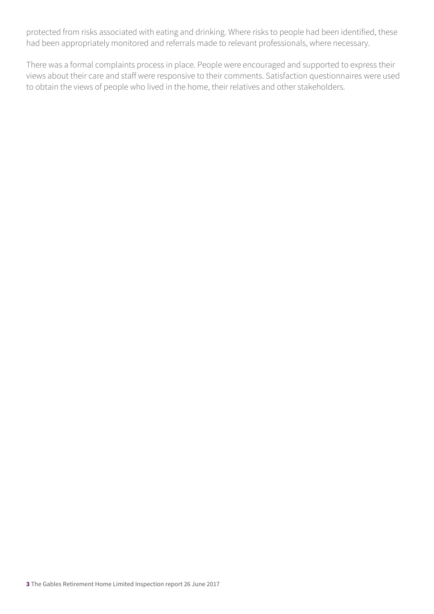protected from risks associated with eating and drinking. Where risks to people had been identified, these had been appropriately monitored and referrals made to relevant professionals, where necessary.

There was a formal complaints process in place. People were encouraged and supported to express their views about their care and staff were responsive to their comments. Satisfaction questionnaires were used to obtain the views of people who lived in the home, their relatives and other stakeholders.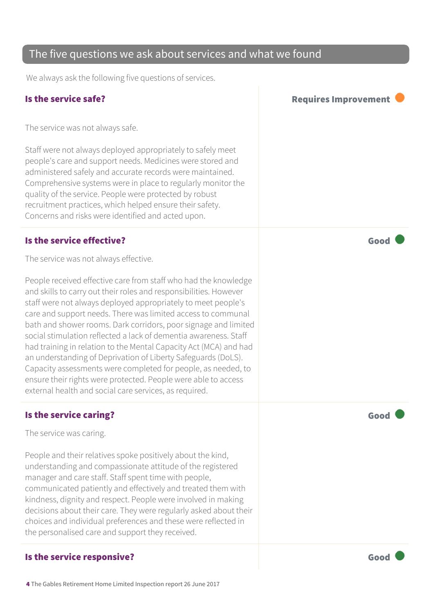#### care and support needs. There was limited access to communal

#### Is the service caring? The service caring?

The service was caring.

People and their relatives spoke positively about the kind, understanding and compassionate attitude of the registered manager and care staff. Staff spent time with people, communicated patiently and effectively and treated them with kindness, dignity and respect. People were involved in making decisions about their care. They were regularly asked about their choices and individual preferences and these were reflected in the personalised care and support they received.

#### Is the service responsive?  $\blacksquare$

#### The five questions we ask about services and what we found

We always ask the following five questions of services.

The service was not always safe.

Staff were not always deployed appropriately to safely meet people's care and support needs. Medicines were stored and administered safely and accurate records were maintained. Comprehensive systems were in place to regularly monitor the quality of the service. People were protected by robust recruitment practices, which helped ensure their safety. Concerns and risks were identified and acted upon.

#### Is the service effective? The service effective?

The service was not always effective.

People received effective care from staff who had the knowledge and skills to carry out their roles and responsibilities. However staff were not always deployed appropriately to meet people's bath and shower rooms. Dark corridors, poor signage and limited social stimulation reflected a lack of dementia awareness. Staff had training in relation to the Mental Capacity Act (MCA) and had an understanding of Deprivation of Liberty Safeguards (DoLS). Capacity assessments were completed for people, as needed, to ensure their rights were protected. People were able to access external health and social care services, as required.

Is the service safe? In the service safe?

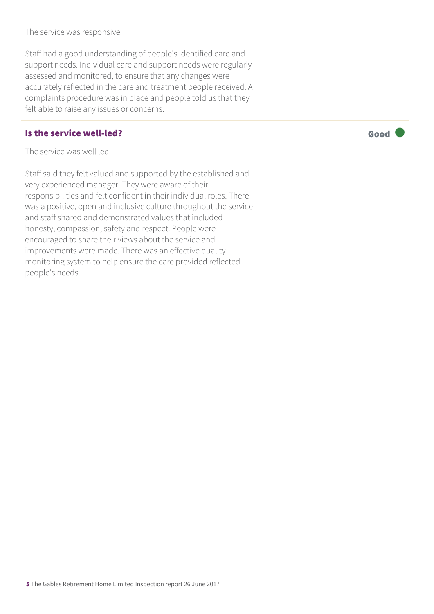The service was responsive.

Staff had a good understanding of people's identified care and support needs. Individual care and support needs were regularly assessed and monitored, to ensure that any changes were accurately reflected in the care and treatment people received. A complaints procedure was in place and people told us that they felt able to raise any issues or concerns.

#### Is the service well-led? Good

The service was well led.

Staff said they felt valued and supported by the established and very experienced manager. They were aware of their responsibilities and felt confident in their individual roles. There was a positive, open and inclusive culture throughout the service and staff shared and demonstrated values that included honesty, compassion, safety and respect. People were encouraged to share their views about the service and improvements were made. There was an effective quality monitoring system to help ensure the care provided reflected people's needs.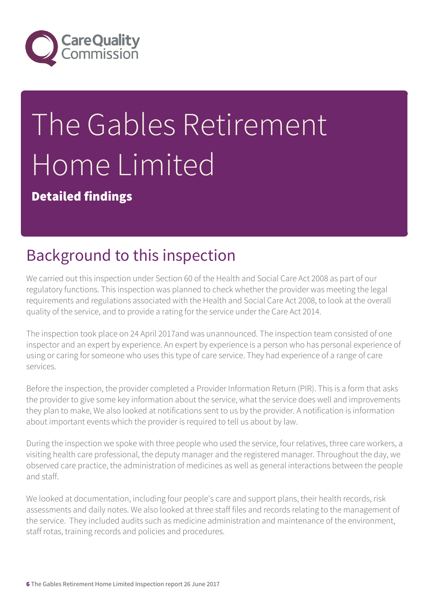

# The Gables Retirement Home Limited

Detailed findings

## Background to this inspection

We carried out this inspection under Section 60 of the Health and Social Care Act 2008 as part of our regulatory functions. This inspection was planned to check whether the provider was meeting the legal requirements and regulations associated with the Health and Social Care Act 2008, to look at the overall quality of the service, and to provide a rating for the service under the Care Act 2014.

The inspection took place on 24 April 2017and was unannounced. The inspection team consisted of one inspector and an expert by experience. An expert by experience is a person who has personal experience of using or caring for someone who uses this type of care service. They had experience of a range of care services.

Before the inspection, the provider completed a Provider Information Return (PIR). This is a form that asks the provider to give some key information about the service, what the service does well and improvements they plan to make, We also looked at notifications sent to us by the provider. A notification is information about important events which the provider is required to tell us about by law.

During the inspection we spoke with three people who used the service, four relatives, three care workers, a visiting health care professional, the deputy manager and the registered manager. Throughout the day, we observed care practice, the administration of medicines as well as general interactions between the people and staff.

We looked at documentation, including four people's care and support plans, their health records, risk assessments and daily notes. We also looked at three staff files and records relating to the management of the service. They included audits such as medicine administration and maintenance of the environment, staff rotas, training records and policies and procedures.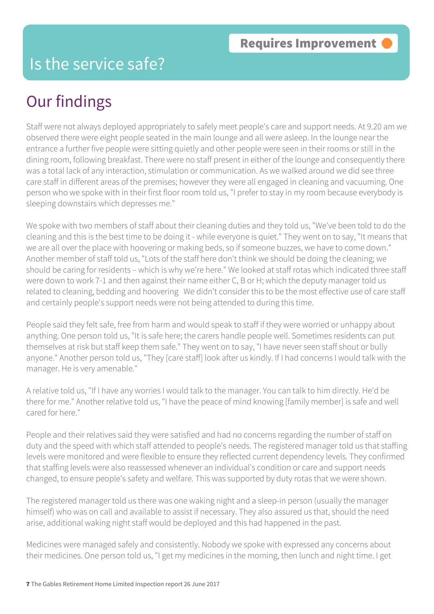### Is the service safe?

### Our findings

Staff were not always deployed appropriately to safely meet people's care and support needs. At 9.20 am we observed there were eight people seated in the main lounge and all were asleep. In the lounge near the entrance a further five people were sitting quietly and other people were seen in their rooms or still in the dining room, following breakfast. There were no staff present in either of the lounge and consequently there was a total lack of any interaction, stimulation or communication. As we walked around we did see three care staff in different areas of the premises; however they were all engaged in cleaning and vacuuming. One person who we spoke with in their first floor room told us, "I prefer to stay in my room because everybody is sleeping downstairs which depresses me."

We spoke with two members of staff about their cleaning duties and they told us, "We've been told to do the cleaning and this is the best time to be doing it - while everyone is quiet." They went on to say, "It means that we are all over the place with hoovering or making beds, so if someone buzzes, we have to come down." Another member of staff told us, "Lots of the staff here don't think we should be doing the cleaning; we should be caring for residents – which is why we're here." We looked at staff rotas which indicated three staff were down to work 7-1 and then against their name either C, B or H; which the deputy manager told us related to cleaning, bedding and hoovering We didn't consider this to be the most effective use of care staff and certainly people's support needs were not being attended to during this time.

People said they felt safe, free from harm and would speak to staff if they were worried or unhappy about anything. One person told us, "It is safe here; the carers handle people well. Sometimes residents can put themselves at risk but staff keep them safe." They went on to say, "I have never seen staff shout or bully anyone." Another person told us, "They [care staff] look after us kindly. If I had concerns I would talk with the manager. He is very amenable."

A relative told us, "If I have any worries I would talk to the manager. You can talk to him directly. He'd be there for me." Another relative told us, "I have the peace of mind knowing [family member] is safe and well cared for here."

People and their relatives said they were satisfied and had no concerns regarding the number of staff on duty and the speed with which staff attended to people's needs. The registered manager told us that staffing levels were monitored and were flexible to ensure they reflected current dependency levels. They confirmed that staffing levels were also reassessed whenever an individual's condition or care and support needs changed, to ensure people's safety and welfare. This was supported by duty rotas that we were shown.

The registered manager told us there was one waking night and a sleep-in person (usually the manager himself) who was on call and available to assist if necessary. They also assured us that, should the need arise, additional waking night staff would be deployed and this had happened in the past.

Medicines were managed safely and consistently. Nobody we spoke with expressed any concerns about their medicines. One person told us, "I get my medicines in the morning, then lunch and night time. I get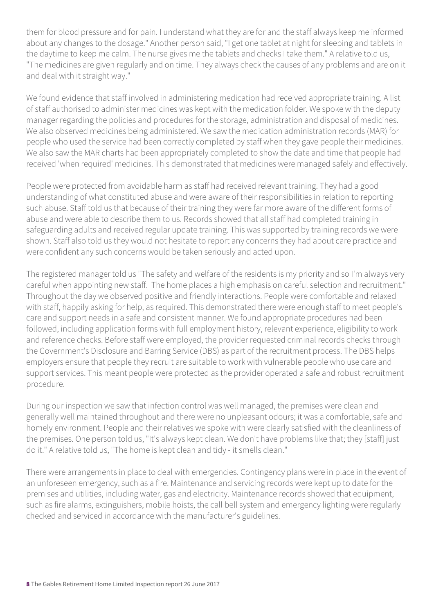them for blood pressure and for pain. I understand what they are for and the staff always keep me informed about any changes to the dosage." Another person said, "I get one tablet at night for sleeping and tablets in the daytime to keep me calm. The nurse gives me the tablets and checks I take them." A relative told us, "The medicines are given regularly and on time. They always check the causes of any problems and are on it and deal with it straight way."

We found evidence that staff involved in administering medication had received appropriate training. A list of staff authorised to administer medicines was kept with the medication folder. We spoke with the deputy manager regarding the policies and procedures for the storage, administration and disposal of medicines. We also observed medicines being administered. We saw the medication administration records (MAR) for people who used the service had been correctly completed by staff when they gave people their medicines. We also saw the MAR charts had been appropriately completed to show the date and time that people had received 'when required' medicines. This demonstrated that medicines were managed safely and effectively.

People were protected from avoidable harm as staff had received relevant training. They had a good understanding of what constituted abuse and were aware of their responsibilities in relation to reporting such abuse. Staff told us that because of their training they were far more aware of the different forms of abuse and were able to describe them to us. Records showed that all staff had completed training in safeguarding adults and received regular update training. This was supported by training records we were shown. Staff also told us they would not hesitate to report any concerns they had about care practice and were confident any such concerns would be taken seriously and acted upon.

The registered manager told us "The safety and welfare of the residents is my priority and so I'm always very careful when appointing new staff. The home places a high emphasis on careful selection and recruitment." Throughout the day we observed positive and friendly interactions. People were comfortable and relaxed with staff, happily asking for help, as required. This demonstrated there were enough staff to meet people's care and support needs in a safe and consistent manner. We found appropriate procedures had been followed, including application forms with full employment history, relevant experience, eligibility to work and reference checks. Before staff were employed, the provider requested criminal records checks through the Government's Disclosure and Barring Service (DBS) as part of the recruitment process. The DBS helps employers ensure that people they recruit are suitable to work with vulnerable people who use care and support services. This meant people were protected as the provider operated a safe and robust recruitment procedure.

During our inspection we saw that infection control was well managed, the premises were clean and generally well maintained throughout and there were no unpleasant odours; it was a comfortable, safe and homely environment. People and their relatives we spoke with were clearly satisfied with the cleanliness of the premises. One person told us, "It's always kept clean. We don't have problems like that; they [staff] just do it." A relative told us, "The home is kept clean and tidy - it smells clean."

There were arrangements in place to deal with emergencies. Contingency plans were in place in the event of an unforeseen emergency, such as a fire. Maintenance and servicing records were kept up to date for the premises and utilities, including water, gas and electricity. Maintenance records showed that equipment, such as fire alarms, extinguishers, mobile hoists, the call bell system and emergency lighting were regularly checked and serviced in accordance with the manufacturer's guidelines.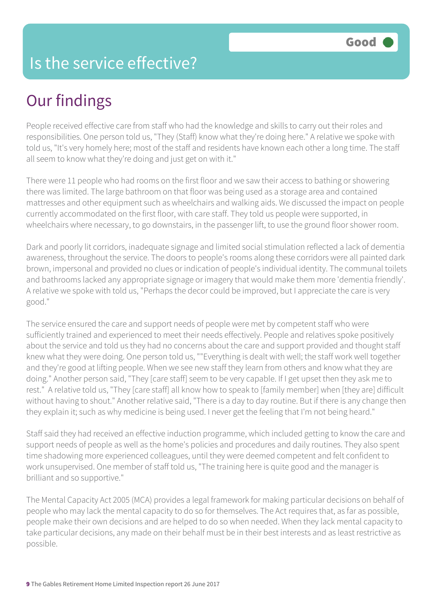### Is the service effective?

### Our findings

People received effective care from staff who had the knowledge and skills to carry out their roles and responsibilities. One person told us, "They (Staff) know what they're doing here." A relative we spoke with told us, "It's very homely here; most of the staff and residents have known each other a long time. The staff all seem to know what they're doing and just get on with it."

There were 11 people who had rooms on the first floor and we saw their access to bathing or showering there was limited. The large bathroom on that floor was being used as a storage area and contained mattresses and other equipment such as wheelchairs and walking aids. We discussed the impact on people currently accommodated on the first floor, with care staff. They told us people were supported, in wheelchairs where necessary, to go downstairs, in the passenger lift, to use the ground floor shower room.

Dark and poorly lit corridors, inadequate signage and limited social stimulation reflected a lack of dementia awareness, throughout the service. The doors to people's rooms along these corridors were all painted dark brown, impersonal and provided no clues or indication of people's individual identity. The communal toilets and bathrooms lacked any appropriate signage or imagery that would make them more 'dementia friendly'. A relative we spoke with told us, "Perhaps the decor could be improved, but I appreciate the care is very good."

The service ensured the care and support needs of people were met by competent staff who were sufficiently trained and experienced to meet their needs effectively. People and relatives spoke positively about the service and told us they had no concerns about the care and support provided and thought staff knew what they were doing. One person told us, ""Everything is dealt with well; the staff work well together and they're good at lifting people. When we see new staff they learn from others and know what they are doing." Another person said, "They [care staff] seem to be very capable. If I get upset then they ask me to rest." A relative told us, "They [care staff] all know how to speak to [family member] when [they are] difficult without having to shout." Another relative said, "There is a day to day routine. But if there is any change then they explain it; such as why medicine is being used. I never get the feeling that I'm not being heard."

Staff said they had received an effective induction programme, which included getting to know the care and support needs of people as well as the home's policies and procedures and daily routines. They also spent time shadowing more experienced colleagues, until they were deemed competent and felt confident to work unsupervised. One member of staff told us, "The training here is quite good and the manager is brilliant and so supportive."

The Mental Capacity Act 2005 (MCA) provides a legal framework for making particular decisions on behalf of people who may lack the mental capacity to do so for themselves. The Act requires that, as far as possible, people make their own decisions and are helped to do so when needed. When they lack mental capacity to take particular decisions, any made on their behalf must be in their best interests and as least restrictive as possible.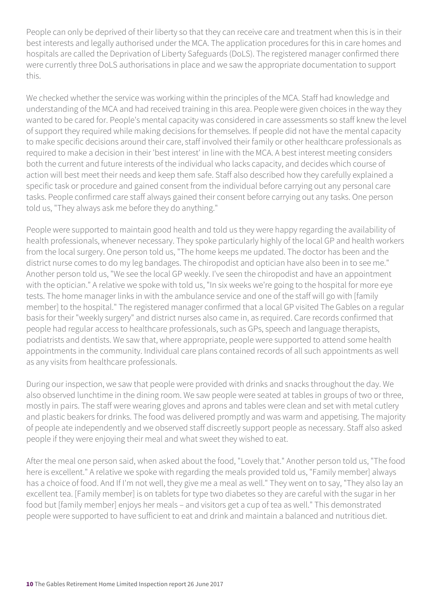People can only be deprived of their liberty so that they can receive care and treatment when this is in their best interests and legally authorised under the MCA. The application procedures for this in care homes and hospitals are called the Deprivation of Liberty Safeguards (DoLS). The registered manager confirmed there were currently three DoLS authorisations in place and we saw the appropriate documentation to support this.

We checked whether the service was working within the principles of the MCA. Staff had knowledge and understanding of the MCA and had received training in this area. People were given choices in the way they wanted to be cared for. People's mental capacity was considered in care assessments so staff knew the level of support they required while making decisions for themselves. If people did not have the mental capacity to make specific decisions around their care, staff involved their family or other healthcare professionals as required to make a decision in their 'best interest' in line with the MCA. A best interest meeting considers both the current and future interests of the individual who lacks capacity, and decides which course of action will best meet their needs and keep them safe. Staff also described how they carefully explained a specific task or procedure and gained consent from the individual before carrying out any personal care tasks. People confirmed care staff always gained their consent before carrying out any tasks. One person told us, "They always ask me before they do anything."

People were supported to maintain good health and told us they were happy regarding the availability of health professionals, whenever necessary. They spoke particularly highly of the local GP and health workers from the local surgery. One person told us, "The home keeps me updated. The doctor has been and the district nurse comes to do my leg bandages. The chiropodist and optician have also been in to see me." Another person told us, "We see the local GP weekly. I've seen the chiropodist and have an appointment with the optician." A relative we spoke with told us, "In six weeks we're going to the hospital for more eye tests. The home manager links in with the ambulance service and one of the staff will go with [family member] to the hospital." The registered manager confirmed that a local GP visited The Gables on a regular basis for their "weekly surgery" and district nurses also came in, as required. Care records confirmed that people had regular access to healthcare professionals, such as GPs, speech and language therapists, podiatrists and dentists. We saw that, where appropriate, people were supported to attend some health appointments in the community. Individual care plans contained records of all such appointments as well as any visits from healthcare professionals.

During our inspection, we saw that people were provided with drinks and snacks throughout the day. We also observed lunchtime in the dining room. We saw people were seated at tables in groups of two or three, mostly in pairs. The staff were wearing gloves and aprons and tables were clean and set with metal cutlery and plastic beakers for drinks. The food was delivered promptly and was warm and appetising. The majority of people ate independently and we observed staff discreetly support people as necessary. Staff also asked people if they were enjoying their meal and what sweet they wished to eat.

After the meal one person said, when asked about the food, "Lovely that." Another person told us, "The food here is excellent." A relative we spoke with regarding the meals provided told us, "Family member] always has a choice of food. And If I'm not well, they give me a meal as well." They went on to say, "They also lay an excellent tea. [Family member] is on tablets for type two diabetes so they are careful with the sugar in her food but [family member] enjoys her meals – and visitors get a cup of tea as well." This demonstrated people were supported to have sufficient to eat and drink and maintain a balanced and nutritious diet.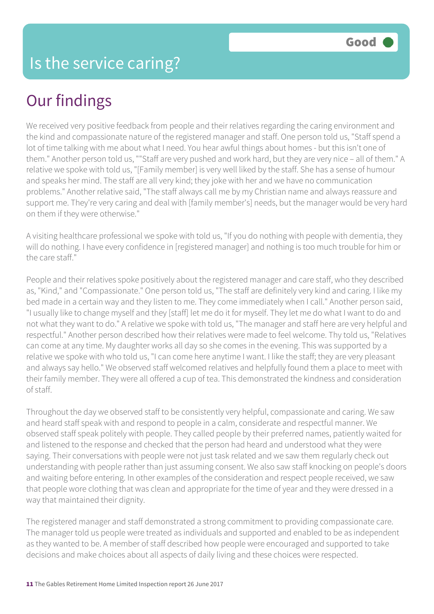## Our findings

We received very positive feedback from people and their relatives regarding the caring environment and the kind and compassionate nature of the registered manager and staff. One person told us, "Staff spend a lot of time talking with me about what I need. You hear awful things about homes - but this isn't one of them." Another person told us, ""Staff are very pushed and work hard, but they are very nice – all of them." A relative we spoke with told us, "[Family member] is very well liked by the staff. She has a sense of humour and speaks her mind. The staff are all very kind; they joke with her and we have no communication problems." Another relative said, "The staff always call me by my Christian name and always reassure and support me. They're very caring and deal with [family member's] needs, but the manager would be very hard on them if they were otherwise."

A visiting healthcare professional we spoke with told us, "If you do nothing with people with dementia, they will do nothing. I have every confidence in [registered manager] and nothing is too much trouble for him or the care staff."

People and their relatives spoke positively about the registered manager and care staff, who they described as, "Kind," and "Compassionate." One person told us, "The staff are definitely very kind and caring. I like my bed made in a certain way and they listen to me. They come immediately when I call." Another person said, "I usually like to change myself and they [staff] let me do it for myself. They let me do what I want to do and not what they want to do." A relative we spoke with told us, "The manager and staff here are very helpful and respectful." Another person described how their relatives were made to feel welcome. Thy told us, "Relatives can come at any time. My daughter works all day so she comes in the evening. This was supported by a relative we spoke with who told us, "I can come here anytime I want. I like the staff; they are very pleasant and always say hello." We observed staff welcomed relatives and helpfully found them a place to meet with their family member. They were all offered a cup of tea. This demonstrated the kindness and consideration of staff.

Throughout the day we observed staff to be consistently very helpful, compassionate and caring. We saw and heard staff speak with and respond to people in a calm, considerate and respectful manner. We observed staff speak politely with people. They called people by their preferred names, patiently waited for and listened to the response and checked that the person had heard and understood what they were saying. Their conversations with people were not just task related and we saw them regularly check out understanding with people rather than just assuming consent. We also saw staff knocking on people's doors and waiting before entering. In other examples of the consideration and respect people received, we saw that people wore clothing that was clean and appropriate for the time of year and they were dressed in a way that maintained their dignity.

The registered manager and staff demonstrated a strong commitment to providing compassionate care. The manager told us people were treated as individuals and supported and enabled to be as independent as they wanted to be. A member of staff described how people were encouraged and supported to take decisions and make choices about all aspects of daily living and these choices were respected.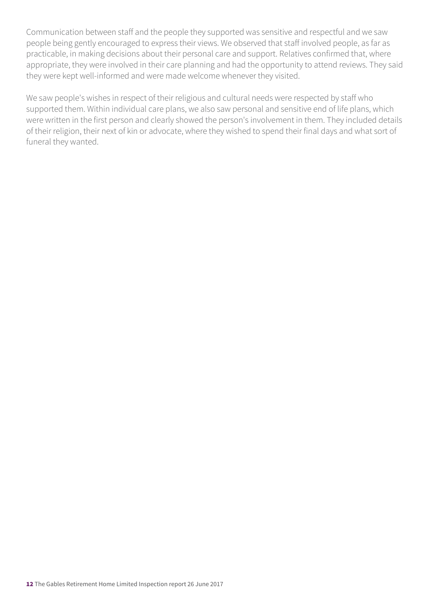Communication between staff and the people they supported was sensitive and respectful and we saw people being gently encouraged to express their views. We observed that staff involved people, as far as practicable, in making decisions about their personal care and support. Relatives confirmed that, where appropriate, they were involved in their care planning and had the opportunity to attend reviews. They said they were kept well-informed and were made welcome whenever they visited.

We saw people's wishes in respect of their religious and cultural needs were respected by staff who supported them. Within individual care plans, we also saw personal and sensitive end of life plans, which were written in the first person and clearly showed the person's involvement in them. They included details of their religion, their next of kin or advocate, where they wished to spend their final days and what sort of funeral they wanted.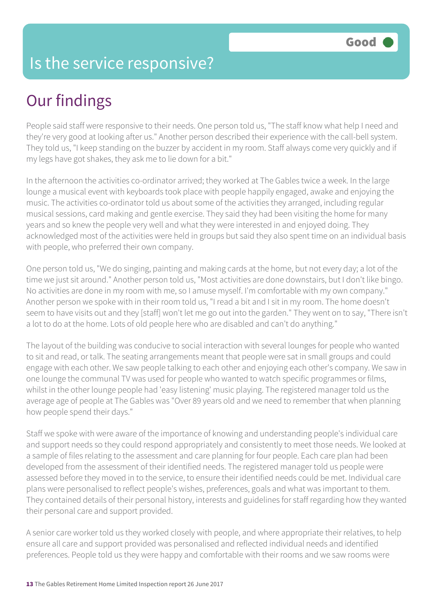### Is the service responsive?

### Our findings

People said staff were responsive to their needs. One person told us, "The staff know what help I need and they're very good at looking after us." Another person described their experience with the call-bell system. They told us, "I keep standing on the buzzer by accident in my room. Staff always come very quickly and if my legs have got shakes, they ask me to lie down for a bit."

In the afternoon the activities co-ordinator arrived; they worked at The Gables twice a week. In the large lounge a musical event with keyboards took place with people happily engaged, awake and enjoying the music. The activities co-ordinator told us about some of the activities they arranged, including regular musical sessions, card making and gentle exercise. They said they had been visiting the home for many years and so knew the people very well and what they were interested in and enjoyed doing. They acknowledged most of the activities were held in groups but said they also spent time on an individual basis with people, who preferred their own company.

One person told us, "We do singing, painting and making cards at the home, but not every day; a lot of the time we just sit around." Another person told us, "Most activities are done downstairs, but I don't like bingo. No activities are done in my room with me, so I amuse myself. I'm comfortable with my own company." Another person we spoke with in their room told us, "I read a bit and I sit in my room. The home doesn't seem to have visits out and they [staff] won't let me go out into the garden." They went on to say, "There isn't a lot to do at the home. Lots of old people here who are disabled and can't do anything."

The layout of the building was conducive to social interaction with several lounges for people who wanted to sit and read, or talk. The seating arrangements meant that people were sat in small groups and could engage with each other. We saw people talking to each other and enjoying each other's company. We saw in one lounge the communal TV was used for people who wanted to watch specific programmes or films, whilst in the other lounge people had 'easy listening' music playing. The registered manager told us the average age of people at The Gables was "Over 89 years old and we need to remember that when planning how people spend their days."

Staff we spoke with were aware of the importance of knowing and understanding people's individual care and support needs so they could respond appropriately and consistently to meet those needs. We looked at a sample of files relating to the assessment and care planning for four people. Each care plan had been developed from the assessment of their identified needs. The registered manager told us people were assessed before they moved in to the service, to ensure their identified needs could be met. Individual care plans were personalised to reflect people's wishes, preferences, goals and what was important to them. They contained details of their personal history, interests and guidelines for staff regarding how they wanted their personal care and support provided.

A senior care worker told us they worked closely with people, and where appropriate their relatives, to help ensure all care and support provided was personalised and reflected individual needs and identified preferences. People told us they were happy and comfortable with their rooms and we saw rooms were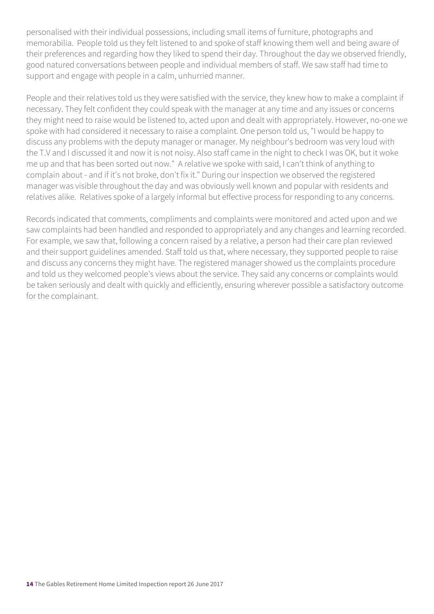personalised with their individual possessions, including small items of furniture, photographs and memorabilia. People told us they felt listened to and spoke of staff knowing them well and being aware of their preferences and regarding how they liked to spend their day. Throughout the day we observed friendly, good natured conversations between people and individual members of staff. We saw staff had time to support and engage with people in a calm, unhurried manner.

People and their relatives told us they were satisfied with the service, they knew how to make a complaint if necessary. They felt confident they could speak with the manager at any time and any issues or concerns they might need to raise would be listened to, acted upon and dealt with appropriately. However, no-one we spoke with had considered it necessary to raise a complaint. One person told us, "I would be happy to discuss any problems with the deputy manager or manager. My neighbour's bedroom was very loud with the T.V and I discussed it and now it is not noisy. Also staff came in the night to check I was OK, but it woke me up and that has been sorted out now." A relative we spoke with said, I can't think of anything to complain about - and if it's not broke, don't fix it." During our inspection we observed the registered manager was visible throughout the day and was obviously well known and popular with residents and relatives alike. Relatives spoke of a largely informal but effective process for responding to any concerns.

Records indicated that comments, compliments and complaints were monitored and acted upon and we saw complaints had been handled and responded to appropriately and any changes and learning recorded. For example, we saw that, following a concern raised by a relative, a person had their care plan reviewed and their support guidelines amended. Staff told us that, where necessary, they supported people to raise and discuss any concerns they might have. The registered manager showed us the complaints procedure and told us they welcomed people's views about the service. They said any concerns or complaints would be taken seriously and dealt with quickly and efficiently, ensuring wherever possible a satisfactory outcome for the complainant.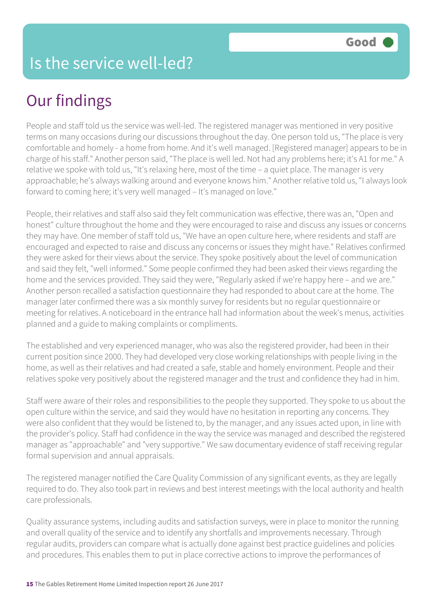### Our findings

People and staff told us the service was well-led. The registered manager was mentioned in very positive terms on many occasions during our discussions throughout the day. One person told us, "The place is very comfortable and homely - a home from home. And it's well managed. [Registered manager] appears to be in charge of his staff." Another person said, "The place is well led. Not had any problems here; it's A1 for me." A relative we spoke with told us, "It's relaxing here, most of the time – a quiet place. The manager is very approachable; he's always walking around and everyone knows him." Another relative told us, "I always look forward to coming here; it's very well managed – It's managed on love."

People, their relatives and staff also said they felt communication was effective, there was an, "Open and honest" culture throughout the home and they were encouraged to raise and discuss any issues or concerns they may have. One member of staff told us, "We have an open culture here, where residents and staff are encouraged and expected to raise and discuss any concerns or issues they might have." Relatives confirmed they were asked for their views about the service. They spoke positively about the level of communication and said they felt, "well informed." Some people confirmed they had been asked their views regarding the home and the services provided. They said they were, "Regularly asked if we're happy here – and we are." Another person recalled a satisfaction questionnaire they had responded to about care at the home. The manager later confirmed there was a six monthly survey for residents but no regular questionnaire or meeting for relatives. A noticeboard in the entrance hall had information about the week's menus, activities planned and a guide to making complaints or compliments.

The established and very experienced manager, who was also the registered provider, had been in their current position since 2000. They had developed very close working relationships with people living in the home, as well as their relatives and had created a safe, stable and homely environment. People and their relatives spoke very positively about the registered manager and the trust and confidence they had in him.

Staff were aware of their roles and responsibilities to the people they supported. They spoke to us about the open culture within the service, and said they would have no hesitation in reporting any concerns. They were also confident that they would be listened to, by the manager, and any issues acted upon, in line with the provider's policy. Staff had confidence in the way the service was managed and described the registered manager as "approachable" and "very supportive." We saw documentary evidence of staff receiving regular formal supervision and annual appraisals.

The registered manager notified the Care Quality Commission of any significant events, as they are legally required to do. They also took part in reviews and best interest meetings with the local authority and health care professionals.

Quality assurance systems, including audits and satisfaction surveys, were in place to monitor the running and overall quality of the service and to identify any shortfalls and improvements necessary. Through regular audits, providers can compare what is actually done against best practice guidelines and policies and procedures. This enables them to put in place corrective actions to improve the performances of